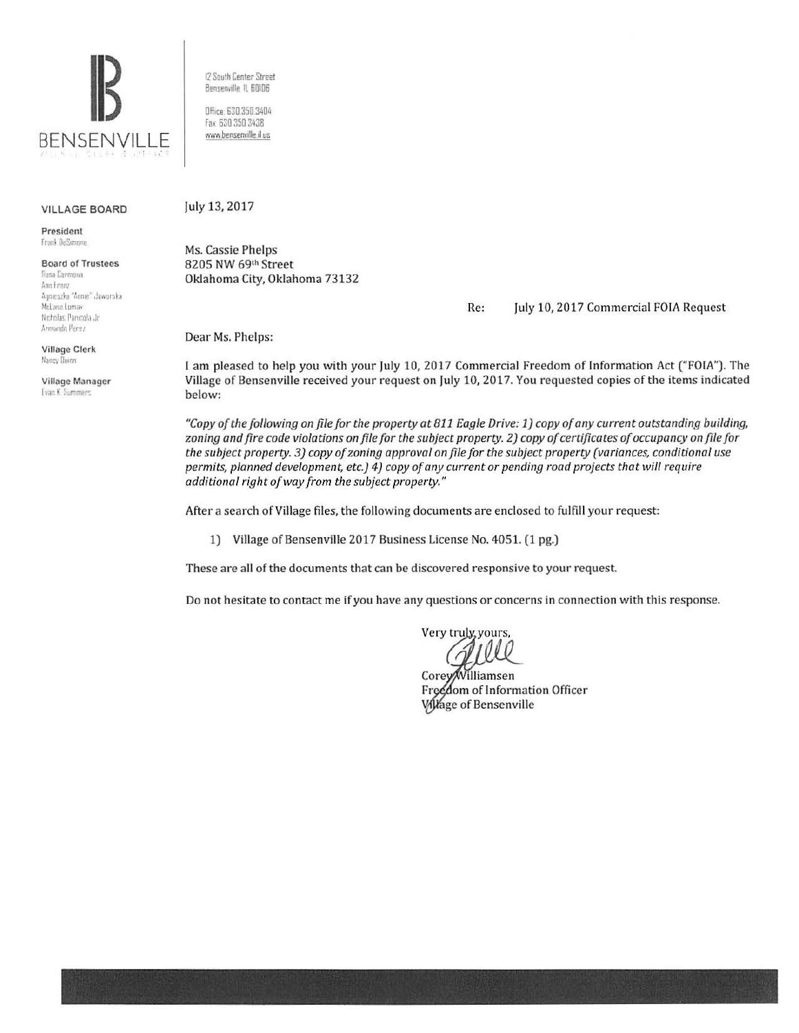

12 South Center Street Bensenville IL 60106

Office: 630.350.3404<br>Fax 630.350.3438 www.bensenville.il.us

## VILLAGE BOARD

President Frank DeSimone

Board of Trustees Rosa Carmona Ano Franz<br>Agoieszka "Anoie" Jaworska McLane Lomax Nicholas. Parucola Jr.  $A$ rmando Perez

Village Clerk Nancy Doron

Village Manager **Ivan K** Summers

July 13, 2017

Ms. Cassie Phelps 8205 NW 691h Street Oklahoma City, Oklahoma 73132

Re: July 10, 2017 Commercial FOlA Request

Dear Ms. Phelps:

I am pleased to help you with your July 10, 2017 Commercial Freedom of Information Act ("FOIA"). The Village of Bensenville received your request on July 10, 2017. You requested copies of the items indicated below:

*"Copy of the following on file for the property at 811 Eagle Drive: 1) copy of any current outstanding building, zoning and fire code violations on file for the subject property. 2) copy of certificates of occupancy on file for the subject property. 3) copy of zoning approval on file for the subject property (variances, conditional use permits, planned development, etc.) 4) copy of any current or pending road projects that will require additional right of way from the subject property."* 

After a search of Village files, the following documents are enclosed to fulfill your request:

1) Village of Bensenville 2017 Business License No. 4051. (1 pg.)

These are all of the documents that can be discovered responsive to your request.

Do not hesitate to contact me if you have any questions or concerns in connection with this response.

Very truly, yours,

Corey/Williamsen Freedom of Information Officer **Village of Bensenville**